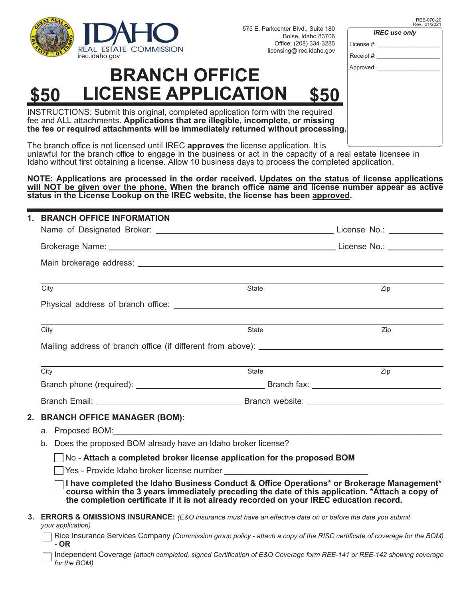

575 E. Parkcenter Blvd., Suite 180 Boise, Idaho 83706 Office: (208) 334-3285 licensing@irec.idaho.gov

#### REE-070-20 Rev. 01/2021

*IREC use only*

License #: Receipt #:

Approved:

### **BRANCH OFFICE \$50 LICENSE APPLICATION \$50**

INSTRUCTIONS: Submit this original, completed application form with the required fee and ALL attachments. **Applications that are illegible, incomplete, or missing the fee or required attachments will be immediately returned without processing.**

The branch office is not licensed until IREC **approves** the license application. It is unlawful for the branch office to engage in the business or act in the capacity of a real estate licensee in Idaho without first obtaining a license. Allow 10 business days to process the completed application.

**NOTE: Applications are processed in the order received. Updates on the status of license applications**  will NOT be given over the phone. When the branch office name and license number appear as active **status in the License Lookup on the IREC website, the license has been approved.**

| 1. | <b>BRANCH OFFICE INFORMATION</b>                                                                                                                                                                                                                                                        |       |     |  |  |  |
|----|-----------------------------------------------------------------------------------------------------------------------------------------------------------------------------------------------------------------------------------------------------------------------------------------|-------|-----|--|--|--|
|    |                                                                                                                                                                                                                                                                                         |       |     |  |  |  |
|    |                                                                                                                                                                                                                                                                                         |       |     |  |  |  |
|    |                                                                                                                                                                                                                                                                                         |       |     |  |  |  |
|    | City                                                                                                                                                                                                                                                                                    | State | Zip |  |  |  |
|    |                                                                                                                                                                                                                                                                                         |       |     |  |  |  |
|    | City                                                                                                                                                                                                                                                                                    | State | Zip |  |  |  |
|    |                                                                                                                                                                                                                                                                                         |       |     |  |  |  |
|    | City                                                                                                                                                                                                                                                                                    | State | Zip |  |  |  |
|    |                                                                                                                                                                                                                                                                                         |       |     |  |  |  |
|    |                                                                                                                                                                                                                                                                                         |       |     |  |  |  |
|    | 2. BRANCH OFFICE MANAGER (BOM):                                                                                                                                                                                                                                                         |       |     |  |  |  |
|    | a. Proposed BOM: New York Contract of the Contract of the Contract of the Contract of the Contract of the Contract of the Contract of the Contract of the Contract of the Contract of the Contract of the Contract of the Cont                                                          |       |     |  |  |  |
|    | Does the proposed BOM already have an Idaho broker license?<br>b.                                                                                                                                                                                                                       |       |     |  |  |  |
|    | No - Attach a completed broker license application for the proposed BOM                                                                                                                                                                                                                 |       |     |  |  |  |
|    |                                                                                                                                                                                                                                                                                         |       |     |  |  |  |
|    | I have completed the Idaho Business Conduct & Office Operations* or Brokerage Management*<br>course within the 3 years immediately preceding the date of this application. *Attach a copy of<br>the completion certificate if it is not already recorded on your IREC education record. |       |     |  |  |  |
|    | 3. ERRORS & OMISSIONS INSURANCE: (E&O insurance must have an effective date on or before the date you submit<br>your application)                                                                                                                                                       |       |     |  |  |  |
|    | Rice Insurance Services Company (Commission group policy - attach a copy of the RISC certificate of coverage for the BOM)<br>$-OR$                                                                                                                                                      |       |     |  |  |  |
|    | Independent Coverage (attach completed, signed Certification of E&O Coverage form REE-141 or REE-142 showing coverage<br>for the BOM)                                                                                                                                                   |       |     |  |  |  |